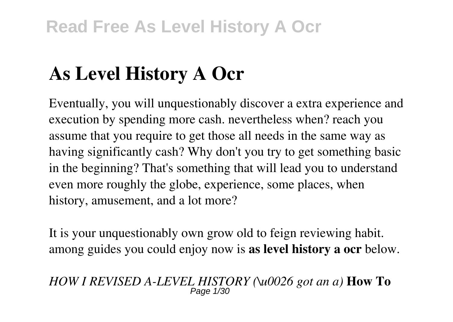# **As Level History A Ocr**

Eventually, you will unquestionably discover a extra experience and execution by spending more cash. nevertheless when? reach you assume that you require to get those all needs in the same way as having significantly cash? Why don't you try to get something basic in the beginning? That's something that will lead you to understand even more roughly the globe, experience, some places, when history, amusement, and a lot more?

It is your unquestionably own grow old to feign reviewing habit. among guides you could enjoy now is **as level history a ocr** below.

*HOW I REVISED A-LEVEL HISTORY (\u0026 got an a)* **How To** Page 1/30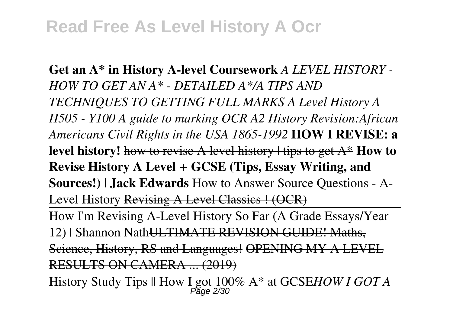**Get an A\* in History A-level Coursework** *A LEVEL HISTORY - HOW TO GET AN A\* - DETAILED A\*/A TIPS AND TECHNIQUES TO GETTING FULL MARKS A Level History A H505 - Y100 A guide to marking OCR A2 History Revision:African Americans Civil Rights in the USA 1865-1992* **HOW I REVISE: a level history!** how to revise A level history | tips to get A\* **How to Revise History A Level + GCSE (Tips, Essay Writing, and Sources!) | Jack Edwards** How to Answer Source Questions - A-Level History Revising A Level Classics ! (OCR)

How I'm Revising A-Level History So Far (A Grade Essays/Year 12) | Shannon NathULTIMATE REVISION GUIDE! Maths, Science, History, RS and Languages! OPENING MY A LEVEL RESULTS ON CAMERA ... (2019)

History Study Tips || How I got 100% A\* at GCSE*HOW I GOT A* Page 2/30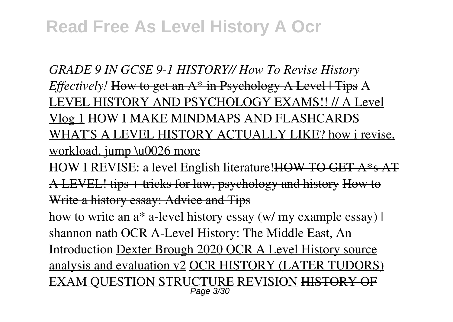*GRADE 9 IN GCSE 9-1 HISTORY// How To Revise History Effectively!* How to get an A<sup>\*</sup> in Psychology A Level | Tips A LEVEL HISTORY AND PSYCHOLOGY EXAMS!! // A Level Vlog 1 HOW I MAKE MINDMAPS AND FLASHCARDS WHAT'S A LEVEL HISTORY ACTUALLY LIKE? how i revise, workload, jump \u0026 more

HOW I REVISE: a level English literature!HOW TO GET A\*s AT A LEVEL! tips + tricks for law, psychology and history How to Write a history essay: Advice and Tips

how to write an a<sup>\*</sup> a-level history essay (w/ my example essay) | shannon nath OCR A-Level History: The Middle East, An Introduction Dexter Brough 2020 OCR A Level History source analysis and evaluation v2 OCR HISTORY (LATER TUDORS) <u>EXAM QUESTION STRUCTURE REVISION</u> <del>HISTORY OF</del>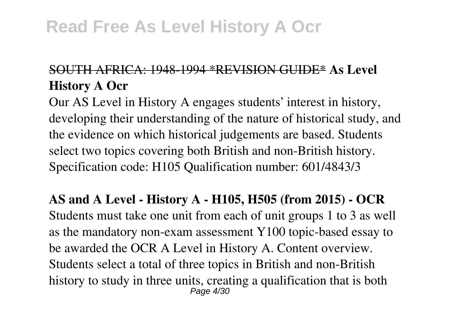#### SOUTH AFRICA: 1948-1994 \*REVISION GUIDE\* **As Level History A Ocr**

Our AS Level in History A engages students' interest in history, developing their understanding of the nature of historical study, and the evidence on which historical judgements are based. Students select two topics covering both British and non-British history. Specification code: H105 Qualification number: 601/4843/3

**AS and A Level - History A - H105, H505 (from 2015) - OCR** Students must take one unit from each of unit groups 1 to 3 as well as the mandatory non-exam assessment Y100 topic-based essay to be awarded the OCR A Level in History A. Content overview. Students select a total of three topics in British and non-British history to study in three units, creating a qualification that is both Page 4/30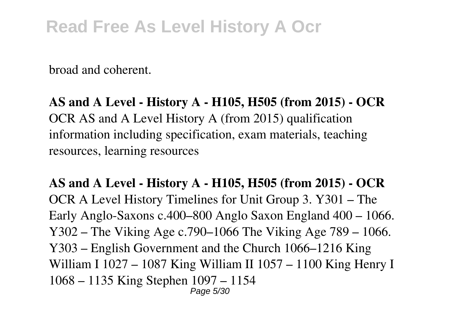broad and coherent.

**AS and A Level - History A - H105, H505 (from 2015) - OCR** OCR AS and A Level History A (from 2015) qualification information including specification, exam materials, teaching resources, learning resources

**AS and A Level - History A - H105, H505 (from 2015) - OCR** OCR A Level History Timelines for Unit Group 3. Y301 – The Early Anglo-Saxons c.400–800 Anglo Saxon England 400 – 1066. Y302 – The Viking Age c.790–1066 The Viking Age 789 – 1066. Y303 – English Government and the Church 1066–1216 King William I 1027 – 1087 King William II 1057 – 1100 King Henry I 1068 – 1135 King Stephen 1097 – 1154 Page 5/30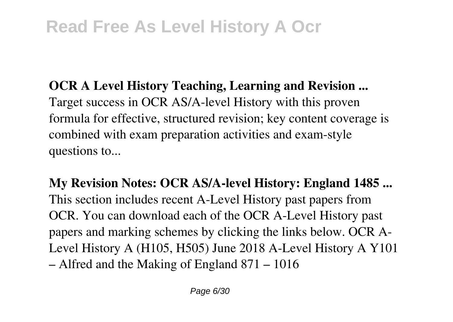**OCR A Level History Teaching, Learning and Revision ...** Target success in OCR AS/A-level History with this proven formula for effective, structured revision; key content coverage is combined with exam preparation activities and exam-style questions to...

**My Revision Notes: OCR AS/A-level History: England 1485 ...** This section includes recent A-Level History past papers from OCR. You can download each of the OCR A-Level History past papers and marking schemes by clicking the links below. OCR A-Level History A (H105, H505) June 2018 A-Level History A Y101 – Alfred and the Making of England 871 – 1016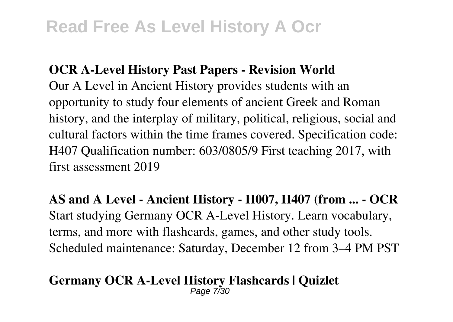#### **OCR A-Level History Past Papers - Revision World**

Our A Level in Ancient History provides students with an opportunity to study four elements of ancient Greek and Roman history, and the interplay of military, political, religious, social and cultural factors within the time frames covered. Specification code: H407 Qualification number: 603/0805/9 First teaching 2017, with first assessment 2019

**AS and A Level - Ancient History - H007, H407 (from ... - OCR** Start studying Germany OCR A-Level History. Learn vocabulary, terms, and more with flashcards, games, and other study tools. Scheduled maintenance: Saturday, December 12 from 3–4 PM PST

#### **Germany OCR A-Level History Flashcards | Quizlet** Page 7/30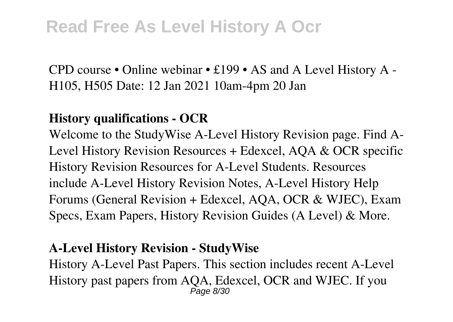CPD course • Online webinar • £199 • AS and A Level History A - H105, H505 Date: 12 Jan 2021 10am-4pm 20 Jan

#### **History qualifications - OCR**

Welcome to the StudyWise A-Level History Revision page. Find A-Level History Revision Resources + Edexcel, AQA & OCR specific History Revision Resources for A-Level Students. Resources include A-Level History Revision Notes, A-Level History Help Forums (General Revision + Edexcel, AQA, OCR & WJEC), Exam Specs, Exam Papers, History Revision Guides (A Level) & More.

#### **A-Level History Revision - StudyWise**

History A-Level Past Papers. This section includes recent A-Level History past papers from AQA, Edexcel, OCR and WJEC. If you Page 8/30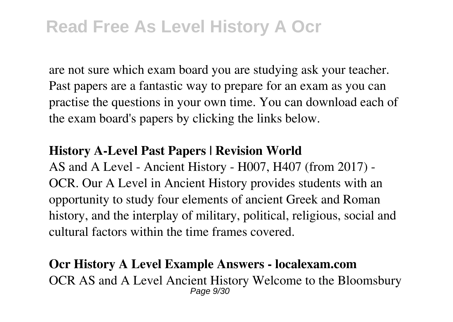are not sure which exam board you are studying ask your teacher. Past papers are a fantastic way to prepare for an exam as you can practise the questions in your own time. You can download each of the exam board's papers by clicking the links below.

#### **History A-Level Past Papers | Revision World**

AS and A Level - Ancient History - H007, H407 (from 2017) - OCR. Our A Level in Ancient History provides students with an opportunity to study four elements of ancient Greek and Roman history, and the interplay of military, political, religious, social and cultural factors within the time frames covered.

#### **Ocr History A Level Example Answers - localexam.com** OCR AS and A Level Ancient History Welcome to the Bloomsbury Page 9/30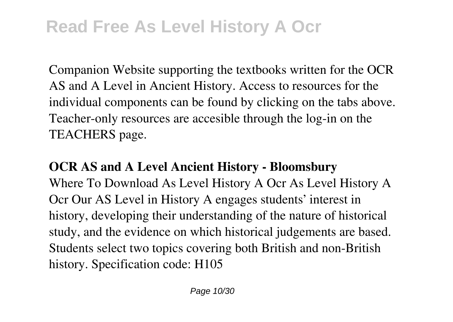Companion Website supporting the textbooks written for the OCR AS and A Level in Ancient History. Access to resources for the individual components can be found by clicking on the tabs above. Teacher-only resources are accesible through the log-in on the TEACHERS page.

### **OCR AS and A Level Ancient History - Bloomsbury** Where To Download As Level History A Ocr As Level History A Ocr Our AS Level in History A engages students' interest in history, developing their understanding of the nature of historical study, and the evidence on which historical judgements are based. Students select two topics covering both British and non-British history. Specification code: H105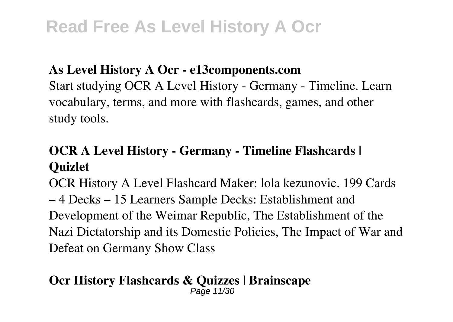#### **As Level History A Ocr - e13components.com**

Start studying OCR A Level History - Germany - Timeline. Learn vocabulary, terms, and more with flashcards, games, and other study tools.

### **OCR A Level History - Germany - Timeline Flashcards | Quizlet**

OCR History A Level Flashcard Maker: lola kezunovic. 199 Cards – 4 Decks – 15 Learners Sample Decks: Establishment and Development of the Weimar Republic, The Establishment of the Nazi Dictatorship and its Domestic Policies, The Impact of War and Defeat on Germany Show Class

#### **Ocr History Flashcards & Quizzes | Brainscape** Page 11/30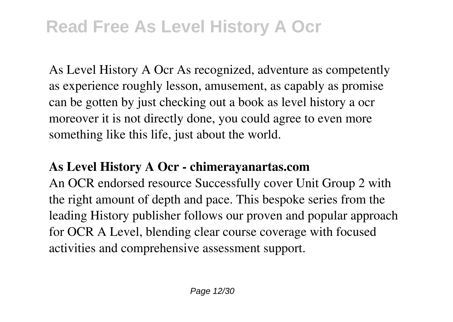As Level History A Ocr As recognized, adventure as competently as experience roughly lesson, amusement, as capably as promise can be gotten by just checking out a book as level history a ocr moreover it is not directly done, you could agree to even more something like this life, just about the world.

#### **As Level History A Ocr - chimerayanartas.com**

An OCR endorsed resource Successfully cover Unit Group 2 with the right amount of depth and pace. This bespoke series from the leading History publisher follows our proven and popular approach for OCR A Level, blending clear course coverage with focused activities and comprehensive assessment support.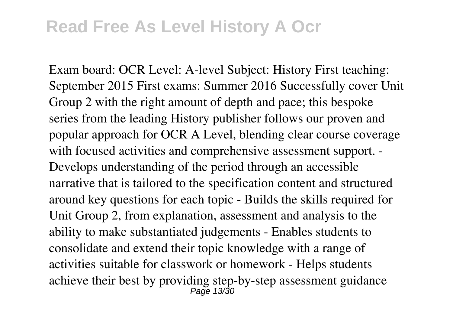Exam board: OCR Level: A-level Subject: History First teaching: September 2015 First exams: Summer 2016 Successfully cover Unit Group 2 with the right amount of depth and pace; this bespoke series from the leading History publisher follows our proven and popular approach for OCR A Level, blending clear course coverage with focused activities and comprehensive assessment support. - Develops understanding of the period through an accessible narrative that is tailored to the specification content and structured around key questions for each topic - Builds the skills required for Unit Group 2, from explanation, assessment and analysis to the ability to make substantiated judgements - Enables students to consolidate and extend their topic knowledge with a range of activities suitable for classwork or homework - Helps students achieve their best by providing step-by-step assessment guidance Page 13/30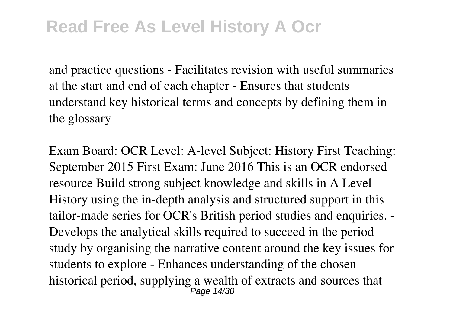and practice questions - Facilitates revision with useful summaries at the start and end of each chapter - Ensures that students understand key historical terms and concepts by defining them in the glossary

Exam Board: OCR Level: A-level Subject: History First Teaching: September 2015 First Exam: June 2016 This is an OCR endorsed resource Build strong subject knowledge and skills in A Level History using the in-depth analysis and structured support in this tailor-made series for OCR's British period studies and enquiries. - Develops the analytical skills required to succeed in the period study by organising the narrative content around the key issues for students to explore - Enhances understanding of the chosen historical period, supplying a wealth of extracts and sources that Page 14/30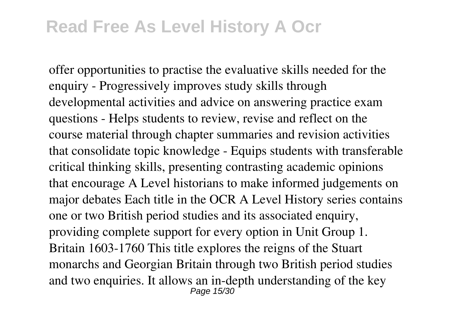offer opportunities to practise the evaluative skills needed for the enquiry - Progressively improves study skills through developmental activities and advice on answering practice exam questions - Helps students to review, revise and reflect on the course material through chapter summaries and revision activities that consolidate topic knowledge - Equips students with transferable critical thinking skills, presenting contrasting academic opinions that encourage A Level historians to make informed judgements on major debates Each title in the OCR A Level History series contains one or two British period studies and its associated enquiry, providing complete support for every option in Unit Group 1. Britain 1603-1760 This title explores the reigns of the Stuart monarchs and Georgian Britain through two British period studies and two enquiries. It allows an in-depth understanding of the key Page 15/30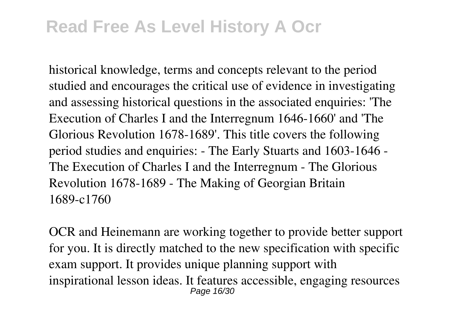historical knowledge, terms and concepts relevant to the period studied and encourages the critical use of evidence in investigating and assessing historical questions in the associated enquiries: 'The Execution of Charles I and the Interregnum 1646-1660' and 'The Glorious Revolution 1678-1689'. This title covers the following period studies and enquiries: - The Early Stuarts and 1603-1646 - The Execution of Charles I and the Interregnum - The Glorious Revolution 1678-1689 - The Making of Georgian Britain 1689-c1760

OCR and Heinemann are working together to provide better support for you. It is directly matched to the new specification with specific exam support. It provides unique planning support with inspirational lesson ideas. It features accessible, engaging resources Page 16/30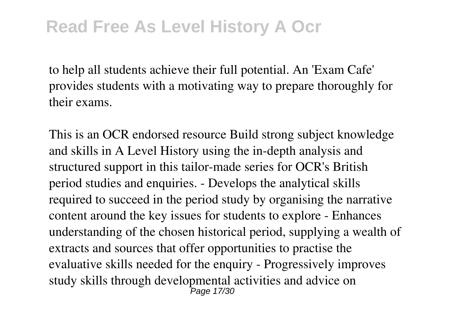to help all students achieve their full potential. An 'Exam Cafe' provides students with a motivating way to prepare thoroughly for their exams.

This is an OCR endorsed resource Build strong subject knowledge and skills in A Level History using the in-depth analysis and structured support in this tailor-made series for OCR's British period studies and enquiries. - Develops the analytical skills required to succeed in the period study by organising the narrative content around the key issues for students to explore - Enhances understanding of the chosen historical period, supplying a wealth of extracts and sources that offer opportunities to practise the evaluative skills needed for the enquiry - Progressively improves study skills through developmental activities and advice on Page 17/30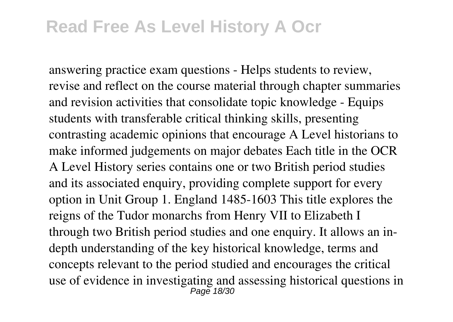answering practice exam questions - Helps students to review, revise and reflect on the course material through chapter summaries and revision activities that consolidate topic knowledge - Equips students with transferable critical thinking skills, presenting contrasting academic opinions that encourage A Level historians to make informed judgements on major debates Each title in the OCR A Level History series contains one or two British period studies and its associated enquiry, providing complete support for every option in Unit Group 1. England 1485-1603 This title explores the reigns of the Tudor monarchs from Henry VII to Elizabeth I through two British period studies and one enquiry. It allows an indepth understanding of the key historical knowledge, terms and concepts relevant to the period studied and encourages the critical use of evidence in investigating and assessing historical questions in Page 18/30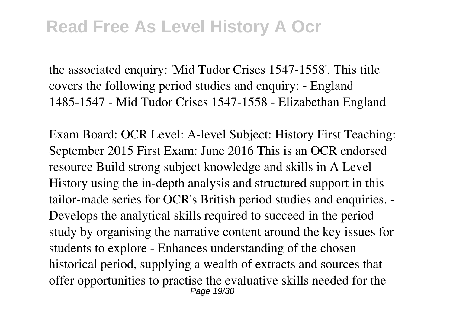the associated enquiry: 'Mid Tudor Crises 1547-1558'. This title covers the following period studies and enquiry: - England 1485-1547 - Mid Tudor Crises 1547-1558 - Elizabethan England

Exam Board: OCR Level: A-level Subject: History First Teaching: September 2015 First Exam: June 2016 This is an OCR endorsed resource Build strong subject knowledge and skills in A Level History using the in-depth analysis and structured support in this tailor-made series for OCR's British period studies and enquiries. - Develops the analytical skills required to succeed in the period study by organising the narrative content around the key issues for students to explore - Enhances understanding of the chosen historical period, supplying a wealth of extracts and sources that offer opportunities to practise the evaluative skills needed for the Page 19/30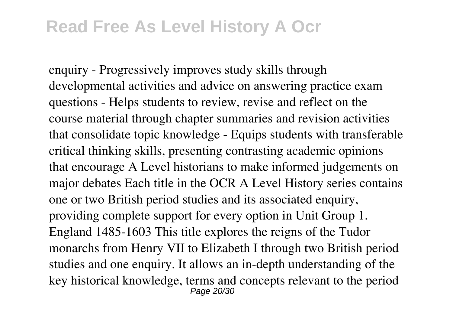enquiry - Progressively improves study skills through developmental activities and advice on answering practice exam questions - Helps students to review, revise and reflect on the course material through chapter summaries and revision activities that consolidate topic knowledge - Equips students with transferable critical thinking skills, presenting contrasting academic opinions that encourage A Level historians to make informed judgements on major debates Each title in the OCR A Level History series contains one or two British period studies and its associated enquiry, providing complete support for every option in Unit Group 1. England 1485-1603 This title explores the reigns of the Tudor monarchs from Henry VII to Elizabeth I through two British period studies and one enquiry. It allows an in-depth understanding of the key historical knowledge, terms and concepts relevant to the period Page 20/30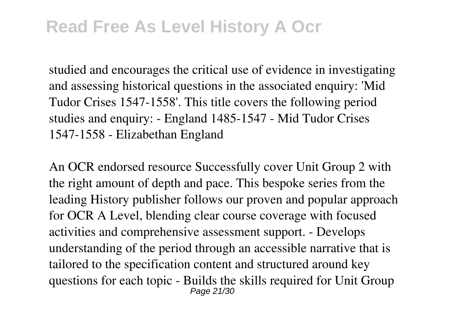studied and encourages the critical use of evidence in investigating and assessing historical questions in the associated enquiry: 'Mid Tudor Crises 1547-1558'. This title covers the following period studies and enquiry: - England 1485-1547 - Mid Tudor Crises 1547-1558 - Elizabethan England

An OCR endorsed resource Successfully cover Unit Group 2 with the right amount of depth and pace. This bespoke series from the leading History publisher follows our proven and popular approach for OCR A Level, blending clear course coverage with focused activities and comprehensive assessment support. - Develops understanding of the period through an accessible narrative that is tailored to the specification content and structured around key questions for each topic - Builds the skills required for Unit Group Page 21/30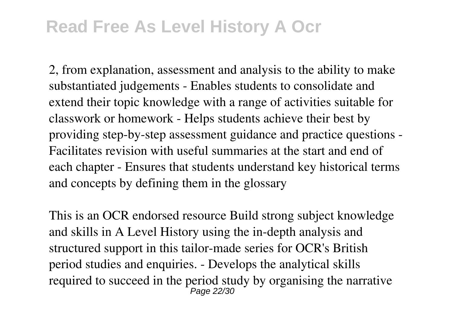2, from explanation, assessment and analysis to the ability to make substantiated judgements - Enables students to consolidate and extend their topic knowledge with a range of activities suitable for classwork or homework - Helps students achieve their best by providing step-by-step assessment guidance and practice questions - Facilitates revision with useful summaries at the start and end of each chapter - Ensures that students understand key historical terms and concepts by defining them in the glossary

This is an OCR endorsed resource Build strong subject knowledge and skills in A Level History using the in-depth analysis and structured support in this tailor-made series for OCR's British period studies and enquiries. - Develops the analytical skills required to succeed in the period study by organising the narrative Page 22/30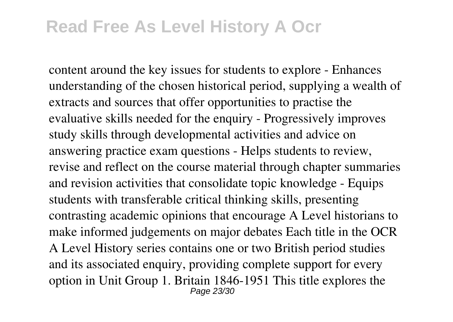content around the key issues for students to explore - Enhances understanding of the chosen historical period, supplying a wealth of extracts and sources that offer opportunities to practise the evaluative skills needed for the enquiry - Progressively improves study skills through developmental activities and advice on answering practice exam questions - Helps students to review, revise and reflect on the course material through chapter summaries and revision activities that consolidate topic knowledge - Equips students with transferable critical thinking skills, presenting contrasting academic opinions that encourage A Level historians to make informed judgements on major debates Each title in the OCR A Level History series contains one or two British period studies and its associated enquiry, providing complete support for every option in Unit Group 1. Britain 1846-1951 This title explores the Page 23/30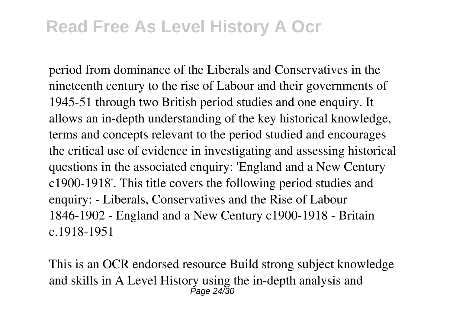period from dominance of the Liberals and Conservatives in the nineteenth century to the rise of Labour and their governments of 1945-51 through two British period studies and one enquiry. It allows an in-depth understanding of the key historical knowledge, terms and concepts relevant to the period studied and encourages the critical use of evidence in investigating and assessing historical questions in the associated enquiry: 'England and a New Century c1900-1918'. This title covers the following period studies and enquiry: - Liberals, Conservatives and the Rise of Labour 1846-1902 - England and a New Century c1900-1918 - Britain c.1918-1951

This is an OCR endorsed resource Build strong subject knowledge and skills in A Level History using the in-depth analysis and  $P_{\text{200}} 24/30$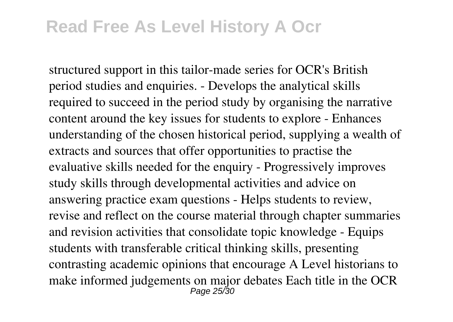structured support in this tailor-made series for OCR's British period studies and enquiries. - Develops the analytical skills required to succeed in the period study by organising the narrative content around the key issues for students to explore - Enhances understanding of the chosen historical period, supplying a wealth of extracts and sources that offer opportunities to practise the evaluative skills needed for the enquiry - Progressively improves study skills through developmental activities and advice on answering practice exam questions - Helps students to review, revise and reflect on the course material through chapter summaries and revision activities that consolidate topic knowledge - Equips students with transferable critical thinking skills, presenting contrasting academic opinions that encourage A Level historians to make informed judgements on major debates Each title in the OCR Page 25/30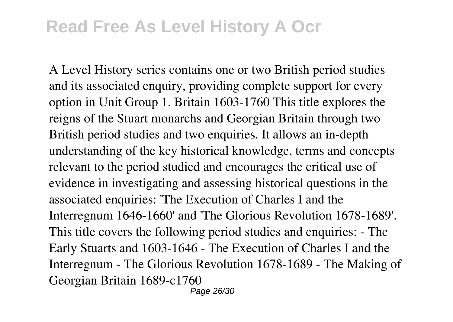A Level History series contains one or two British period studies and its associated enquiry, providing complete support for every option in Unit Group 1. Britain 1603-1760 This title explores the reigns of the Stuart monarchs and Georgian Britain through two British period studies and two enquiries. It allows an in-depth understanding of the key historical knowledge, terms and concepts relevant to the period studied and encourages the critical use of evidence in investigating and assessing historical questions in the associated enquiries: 'The Execution of Charles I and the Interregnum 1646-1660' and 'The Glorious Revolution 1678-1689'. This title covers the following period studies and enquiries: - The Early Stuarts and 1603-1646 - The Execution of Charles I and the Interregnum - The Glorious Revolution 1678-1689 - The Making of Georgian Britain 1689-c1760

Page 26/30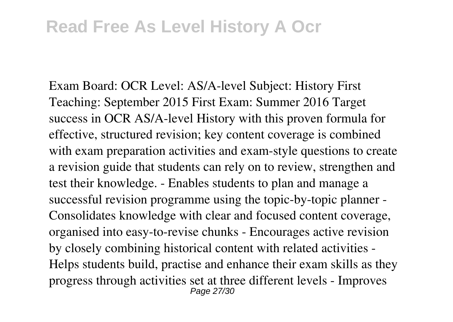Exam Board: OCR Level: AS/A-level Subject: History First Teaching: September 2015 First Exam: Summer 2016 Target success in OCR AS/A-level History with this proven formula for effective, structured revision; key content coverage is combined with exam preparation activities and exam-style questions to create a revision guide that students can rely on to review, strengthen and test their knowledge. - Enables students to plan and manage a successful revision programme using the topic-by-topic planner - Consolidates knowledge with clear and focused content coverage, organised into easy-to-revise chunks - Encourages active revision by closely combining historical content with related activities - Helps students build, practise and enhance their exam skills as they progress through activities set at three different levels - Improves Page 27/30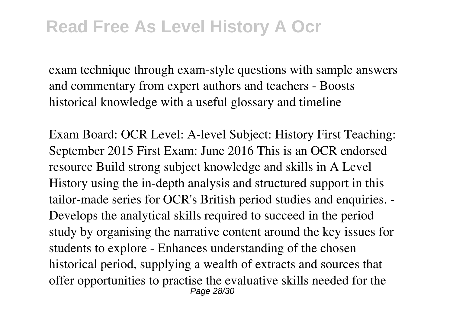exam technique through exam-style questions with sample answers and commentary from expert authors and teachers - Boosts historical knowledge with a useful glossary and timeline

Exam Board: OCR Level: A-level Subject: History First Teaching: September 2015 First Exam: June 2016 This is an OCR endorsed resource Build strong subject knowledge and skills in A Level History using the in-depth analysis and structured support in this tailor-made series for OCR's British period studies and enquiries. - Develops the analytical skills required to succeed in the period study by organising the narrative content around the key issues for students to explore - Enhances understanding of the chosen historical period, supplying a wealth of extracts and sources that offer opportunities to practise the evaluative skills needed for the Page 28/30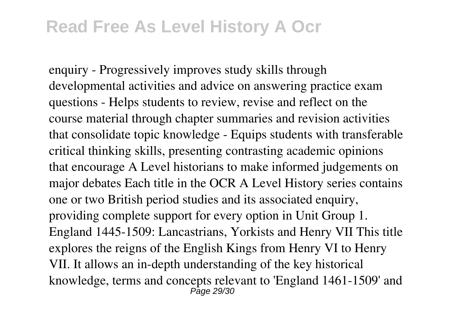enquiry - Progressively improves study skills through developmental activities and advice on answering practice exam questions - Helps students to review, revise and reflect on the course material through chapter summaries and revision activities that consolidate topic knowledge - Equips students with transferable critical thinking skills, presenting contrasting academic opinions that encourage A Level historians to make informed judgements on major debates Each title in the OCR A Level History series contains one or two British period studies and its associated enquiry, providing complete support for every option in Unit Group 1. England 1445-1509: Lancastrians, Yorkists and Henry VII This title explores the reigns of the English Kings from Henry VI to Henry VII. It allows an in-depth understanding of the key historical knowledge, terms and concepts relevant to 'England 1461-1509' and Page 29/30